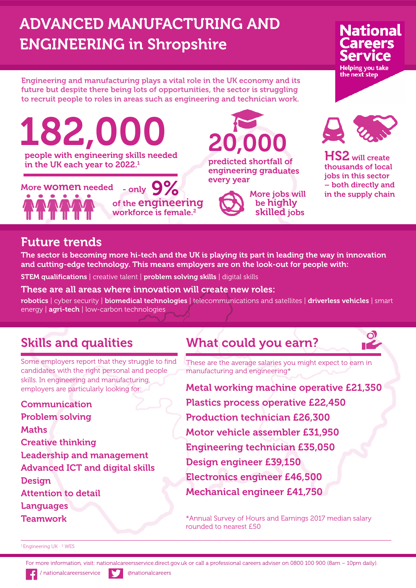## **ADVANCED MANUFACTURING AND ENGINEERING in Shropshire**

# **National** areers

**Helping you take** the next step

**Engineering and manufacturing plays a vital role in the UK economy and its future but despite there being lots of opportunities, the sector is struggling to recruit people to roles in areas such as engineering and technician work.**

**182,000 people with engineering skills needed**

**in the UK each year to 2022. 1**



- only 9% **of the engineering workforce is female. 2**



**predicted shortfall of engineering graduates every year**





**HS2 will create thousands of local jobs in this sector – both directly and More jobs will in the supply chain**

### **Future trends**

The sector is becoming more hi-tech and the UK is playing its part in leading the way in innovation **and cutting-edge technology. This means employers are on the look-out for people with:**

**STEM qualifications** | creative talent | **problem solving skills** | digital skills

**These are all areas where innovation will create new roles:**

**robotics** | cyber security | **biomedical technologies** | telecommunications and satellites | **driverless vehicles** | smart energy | **agri-tech** | low-carbon technologies

### **Skills and qualities**

Some employers report that they struggle to find candidates with the right personal and people skills. In engineering and manufacturing, employers are particularly looking for:

**Communication Problem solving Maths Creative thinking Leadership and management Advanced ICT and digital skills Design Attention to detail Languages Teamwork**

### **What could you earn?**

O)

These are the average salaries you might expect to earn in manufacturing and engineering\*

**Metal working machine operative £21,350 Plastics process operative £22,450 Production technician £26,300 Motor vehicle assembler £31,950 Engineering technician £35,050 Design engineer £39,150 Electronics engineer £46,500 Mechanical engineer £41,750**

\*Annual Survey of Hours and Earnings 2017 median salary rounded to nearest £50

<sup>1</sup> Engineering UK <sup>2</sup> WES

For more information, visit: nationalcareersservice.direct.gov.uk or call a professional careers adviser on 0800 100 900 (8am – 10pm daily).